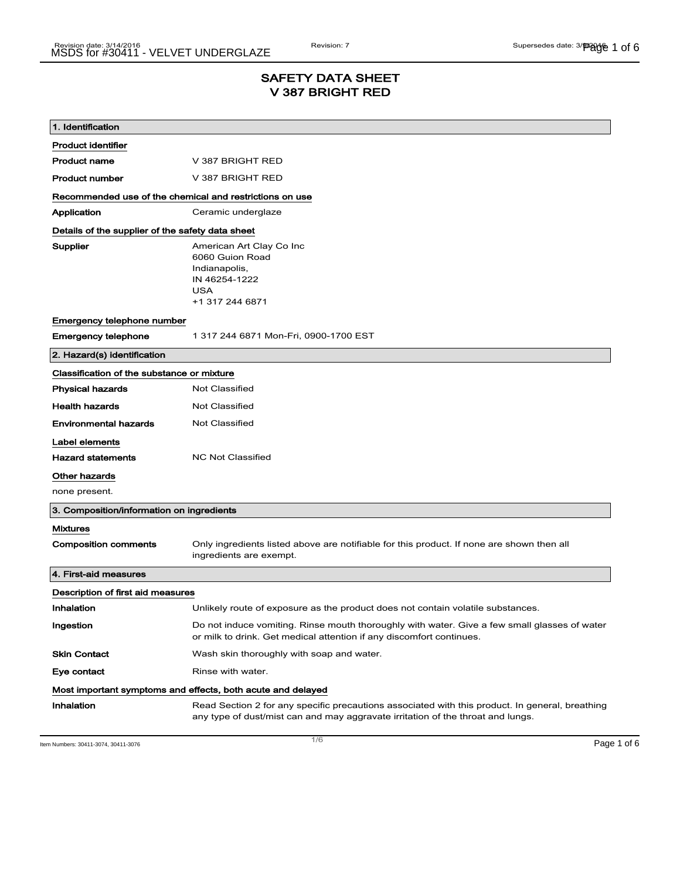### SAFETY DATA SHEET V 387 BRIGHT RED

| 1. Identification                                           |                                                                                                                                                                                    |  |  |
|-------------------------------------------------------------|------------------------------------------------------------------------------------------------------------------------------------------------------------------------------------|--|--|
| <b>Product identifier</b>                                   |                                                                                                                                                                                    |  |  |
| <b>Product name</b>                                         | V 387 BRIGHT RED                                                                                                                                                                   |  |  |
| <b>Product number</b>                                       | V 387 BRIGHT RED                                                                                                                                                                   |  |  |
| Recommended use of the chemical and restrictions on use     |                                                                                                                                                                                    |  |  |
| Application                                                 | Ceramic underglaze                                                                                                                                                                 |  |  |
|                                                             | Details of the supplier of the safety data sheet                                                                                                                                   |  |  |
| Supplier                                                    | American Art Clay Co Inc<br>6060 Guion Road<br>Indianapolis,<br>IN 46254-1222<br>USA<br>+1 317 244 6871                                                                            |  |  |
| Emergency telephone number                                  |                                                                                                                                                                                    |  |  |
| <b>Emergency telephone</b>                                  | 1 317 244 6871 Mon-Fri, 0900-1700 EST                                                                                                                                              |  |  |
| 2. Hazard(s) identification                                 |                                                                                                                                                                                    |  |  |
| Classification of the substance or mixture                  |                                                                                                                                                                                    |  |  |
| <b>Physical hazards</b>                                     | <b>Not Classified</b>                                                                                                                                                              |  |  |
| <b>Health hazards</b>                                       | Not Classified                                                                                                                                                                     |  |  |
| <b>Environmental hazards</b>                                | <b>Not Classified</b>                                                                                                                                                              |  |  |
| Label elements                                              |                                                                                                                                                                                    |  |  |
| <b>Hazard statements</b>                                    | <b>NC Not Classified</b>                                                                                                                                                           |  |  |
| Other hazards                                               |                                                                                                                                                                                    |  |  |
| none present.                                               |                                                                                                                                                                                    |  |  |
| 3. Composition/information on ingredients                   |                                                                                                                                                                                    |  |  |
| <b>Mixtures</b>                                             |                                                                                                                                                                                    |  |  |
| <b>Composition comments</b>                                 | Only ingredients listed above are notifiable for this product. If none are shown then all<br>ingredients are exempt.                                                               |  |  |
| 4. First-aid measures                                       |                                                                                                                                                                                    |  |  |
| Description of first aid measures                           |                                                                                                                                                                                    |  |  |
| Inhalation                                                  | Unlikely route of exposure as the product does not contain volatile substances.                                                                                                    |  |  |
| Ingestion                                                   | Do not induce vomiting. Rinse mouth thoroughly with water. Give a few small glasses of water<br>or milk to drink. Get medical attention if any discomfort continues.               |  |  |
| <b>Skin Contact</b>                                         | Wash skin thoroughly with soap and water.                                                                                                                                          |  |  |
| Eye contact                                                 | Rinse with water.                                                                                                                                                                  |  |  |
| Most important symptoms and effects, both acute and delayed |                                                                                                                                                                                    |  |  |
| Inhalation                                                  | Read Section 2 for any specific precautions associated with this product. In general, breathing<br>any type of dust/mist can and may aggravate irritation of the throat and lungs. |  |  |

Item Numbers: 30411-3074, 30411-3076  $\blacksquare$   $\blacksquare$   $\blacksquare$   $\blacksquare$   $\blacksquare$   $\blacksquare$   $\blacksquare$   $\blacksquare$   $\blacksquare$   $\blacksquare$   $\blacksquare$   $\blacksquare$   $\blacksquare$   $\blacksquare$   $\blacksquare$   $\blacksquare$   $\blacksquare$   $\blacksquare$   $\blacksquare$   $\blacksquare$   $\blacksquare$   $\blacksquare$   $\blacksquare$   $\blacksquare$   $\blacksquare$   $\blacksquare$   $\$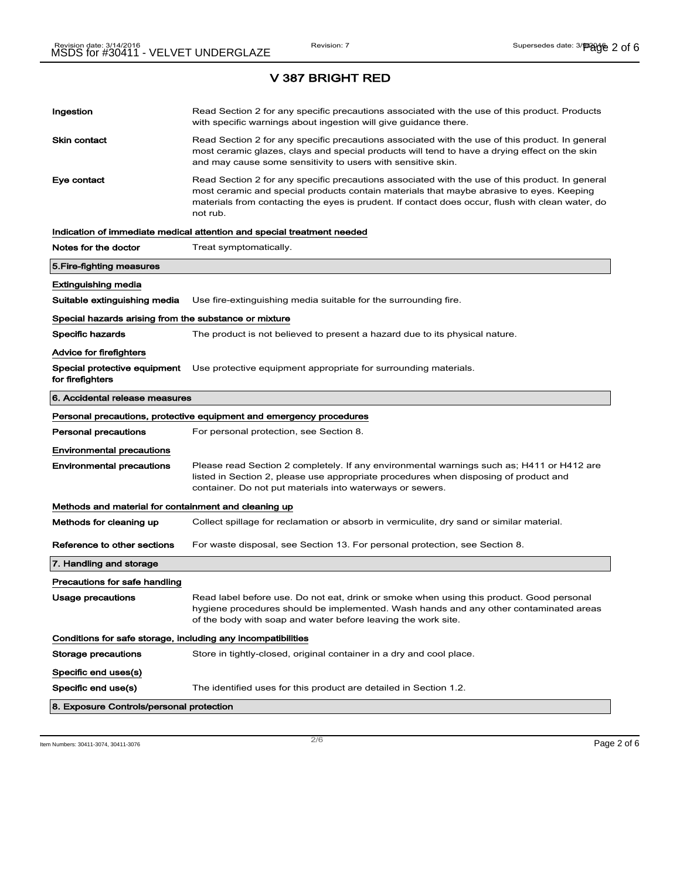# Ingestion **Read Section 2 for any specific precautions associated with the use of this product. Products** with specific warnings about ingestion will give guidance there. Skin contact **Read Section 2 for any specific precautions associated with the use of this product. In general** most ceramic glazes, clays and special products will tend to have a drying effect on the skin and may cause some sensitivity to users with sensitive skin. Eye contact **Read Section 2 for any specific precautions associated with the use of this product. In general** most ceramic and special products contain materials that maybe abrasive to eyes. Keeping materials from contacting the eyes is prudent. If contact does occur, flush with clean water, do not rub. Indication of immediate medical attention and special treatment needed Notes for the doctor Treat symptomatically. 5.Fire-fighting measures Extinguishing media Suitable extinguishing media Use fire-extinguishing media suitable for the surrounding fire. Special hazards arising from the substance or mixture Specific hazards The product is not believed to present a hazard due to its physical nature. Advice for firefighters Special protective equipment Use protective equipment appropriate for surrounding materials. for firefighters 6. Accidental release measures Personal precautions, protective equipment and emergency procedures Personal precautions For personal protection, see Section 8. Environmental precautions Environmental precautions Please read Section 2 completely. If any environmental warnings such as; H411 or H412 are listed in Section 2, please use appropriate procedures when disposing of product and container. Do not put materials into waterways or sewers. Methods and material for containment and cleaning up Methods for cleaning up Collect spillage for reclamation or absorb in vermiculite, dry sand or similar material. Reference to other sections For waste disposal, see Section 13. For personal protection, see Section 8. 7. Handling and storage Precautions for safe handling Usage precautions **Read label before use. Do not eat, drink or smoke when using this product. Good personal** hygiene procedures should be implemented. Wash hands and any other contaminated areas of the body with soap and water before leaving the work site. Conditions for safe storage, including any incompatibilities Storage precautions Store in tightly-closed, original container in a dry and cool place. Specific end uses(s) Specific end use(s) The identified uses for this product are detailed in Section 1.2. 8. Exposure Controls/personal protection

Item Numbers: 30411-3074, 30411-3076 Page 2 of 6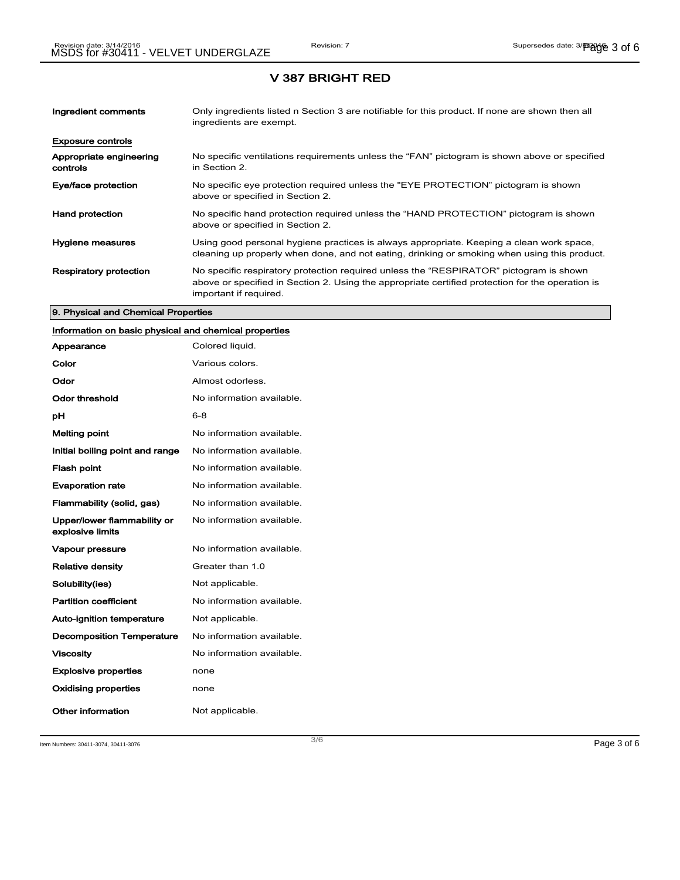| Ingredient comments                 | Only ingredients listed n Section 3 are notifiable for this product. If none are shown then all<br>ingredients are exempt.                                                                                           |
|-------------------------------------|----------------------------------------------------------------------------------------------------------------------------------------------------------------------------------------------------------------------|
| <b>Exposure controls</b>            |                                                                                                                                                                                                                      |
| Appropriate engineering<br>controls | No specific ventilations requirements unless the "FAN" pictogram is shown above or specified<br>in Section 2.                                                                                                        |
| Eye/face protection                 | No specific eye protection required unless the "EYE PROTECTION" pictogram is shown<br>above or specified in Section 2.                                                                                               |
| <b>Hand protection</b>              | No specific hand protection required unless the "HAND PROTECTION" pictogram is shown<br>above or specified in Section 2.                                                                                             |
| Hygiene measures                    | Using good personal hygiene practices is always appropriate. Keeping a clean work space,<br>cleaning up properly when done, and not eating, drinking or smoking when using this product.                             |
| <b>Respiratory protection</b>       | No specific respiratory protection required unless the "RESPIRATOR" pictogram is shown<br>above or specified in Section 2. Using the appropriate certified protection for the operation is<br>important if required. |

#### 9. Physical and Chemical Properties

# Information on basic physical and chemical properties

| Appearance                                      | Colored liquid.           |
|-------------------------------------------------|---------------------------|
| Color                                           | Various colors.           |
| Odor                                            | Almost odorless.          |
| Odor threshold                                  | No information available. |
| рH                                              | $6 - 8$                   |
| <b>Melting point</b>                            | No information available. |
| Initial boiling point and range                 | No information available. |
| <b>Flash point</b>                              | No information available. |
| <b>Evaporation rate</b>                         | No information available. |
| Flammability (solid, gas)                       | No information available. |
| Upper/lower flammability or<br>explosive limits | No information available. |
| Vapour pressure                                 | No information available. |
| <b>Relative density</b>                         | Greater than 1.0          |
| Solubility(ies)                                 | Not applicable.           |
| <b>Partition coefficient</b>                    | No information available. |
| <b>Auto-ignition temperature</b>                | Not applicable.           |
| <b>Decomposition Temperature</b>                | No information available. |
| <b>Viscosity</b>                                | No information available. |
| <b>Explosive properties</b>                     | none                      |
| <b>Oxidising properties</b>                     | none                      |
| Other information                               | Not applicable.           |

Item Numbers: 30411-3074, 30411-3076 Page 3 of 6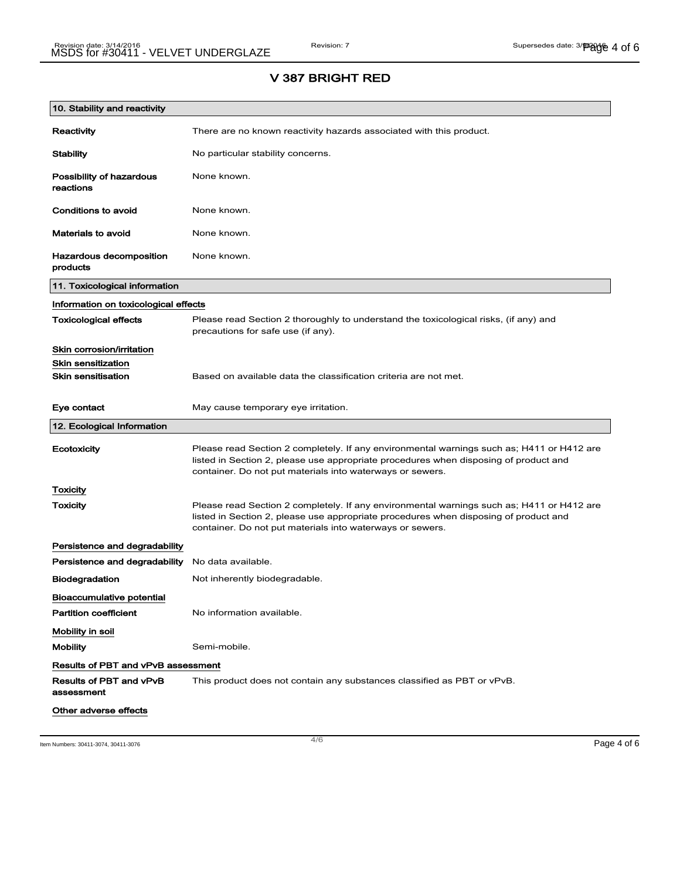## V 387 BRIGHT RED

| 10. Stability and reactivity              |                                                                                                                                                                                                                                                |
|-------------------------------------------|------------------------------------------------------------------------------------------------------------------------------------------------------------------------------------------------------------------------------------------------|
| Reactivity                                | There are no known reactivity hazards associated with this product.                                                                                                                                                                            |
| <b>Stability</b>                          | No particular stability concerns.                                                                                                                                                                                                              |
| Possibility of hazardous<br>reactions     | None known.                                                                                                                                                                                                                                    |
| Conditions to avoid                       | None known.                                                                                                                                                                                                                                    |
| <b>Materials to avoid</b>                 | None known.                                                                                                                                                                                                                                    |
| Hazardous decomposition<br>products       | None known.                                                                                                                                                                                                                                    |
| 11. Toxicological information             |                                                                                                                                                                                                                                                |
| Information on toxicological effects      |                                                                                                                                                                                                                                                |
| <b>Toxicological effects</b>              | Please read Section 2 thoroughly to understand the toxicological risks, (if any) and<br>precautions for safe use (if any).                                                                                                                     |
| Skin corrosion/irritation                 |                                                                                                                                                                                                                                                |
| <b>Skin sensitization</b>                 |                                                                                                                                                                                                                                                |
| <b>Skin sensitisation</b>                 | Based on available data the classification criteria are not met.                                                                                                                                                                               |
| Eye contact                               | May cause temporary eye irritation.                                                                                                                                                                                                            |
| 12. Ecological Information                |                                                                                                                                                                                                                                                |
| Ecotoxicity                               | Please read Section 2 completely. If any environmental warnings such as; H411 or H412 are<br>listed in Section 2, please use appropriate procedures when disposing of product and<br>container. Do not put materials into waterways or sewers. |
| Toxicity                                  |                                                                                                                                                                                                                                                |
| Toxicity                                  | Please read Section 2 completely. If any environmental warnings such as; H411 or H412 are<br>listed in Section 2, please use appropriate procedures when disposing of product and<br>container. Do not put materials into waterways or sewers. |
| Persistence and degradability             |                                                                                                                                                                                                                                                |
| Persistence and degradability             | No data available.                                                                                                                                                                                                                             |
| <b>Biodegradation</b>                     | Not inherently biodegradable.                                                                                                                                                                                                                  |
| <b>Bioaccumulative potential</b>          |                                                                                                                                                                                                                                                |
| <b>Partition coefficient</b>              | No information available.                                                                                                                                                                                                                      |
| Mobility in soil                          |                                                                                                                                                                                                                                                |
| <b>Mobility</b>                           | Semi-mobile.                                                                                                                                                                                                                                   |
| <b>Results of PBT and vPvB assessment</b> |                                                                                                                                                                                                                                                |
| Results of PBT and vPvB<br>assessment     | This product does not contain any substances classified as PBT or vPvB.                                                                                                                                                                        |
| Other adverse effects                     |                                                                                                                                                                                                                                                |

Item Numbers: 30411-3074, 30411-3076  $\,$  Page 4 of 6  $\,$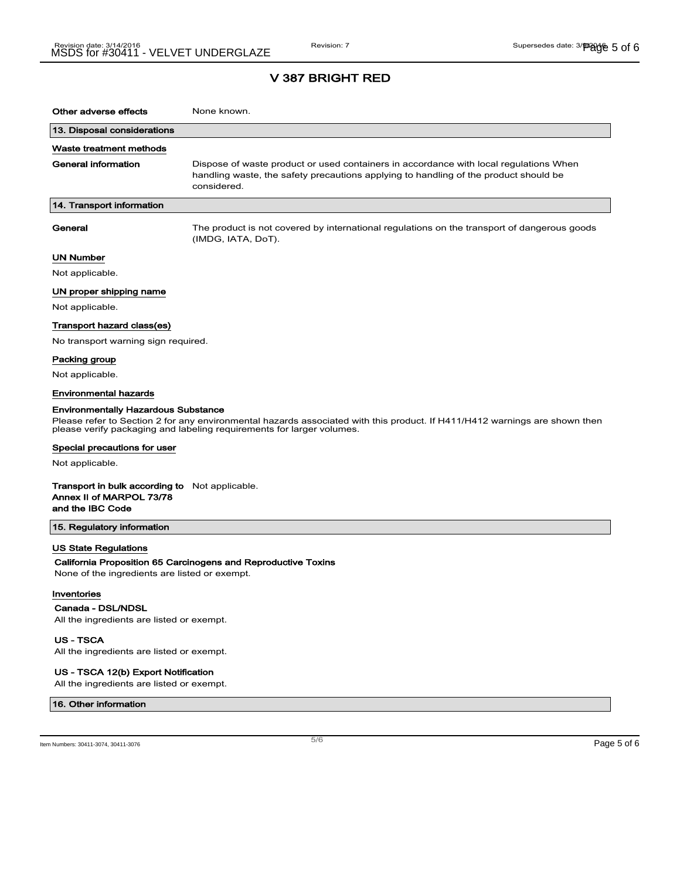| Other adverse effects                                                                                            | None known.                                                                                                                                                                                         |
|------------------------------------------------------------------------------------------------------------------|-----------------------------------------------------------------------------------------------------------------------------------------------------------------------------------------------------|
| 13. Disposal considerations                                                                                      |                                                                                                                                                                                                     |
| Waste treatment methods                                                                                          |                                                                                                                                                                                                     |
| General information                                                                                              | Dispose of waste product or used containers in accordance with local regulations When<br>handling waste, the safety precautions applying to handling of the product should be<br>considered.        |
| 14. Transport information                                                                                        |                                                                                                                                                                                                     |
| General                                                                                                          | The product is not covered by international regulations on the transport of dangerous goods<br>(IMDG, IATA, DoT).                                                                                   |
| <b>UN Number</b>                                                                                                 |                                                                                                                                                                                                     |
| Not applicable.                                                                                                  |                                                                                                                                                                                                     |
| UN proper shipping name                                                                                          |                                                                                                                                                                                                     |
| Not applicable.                                                                                                  |                                                                                                                                                                                                     |
| Transport hazard class(es)                                                                                       |                                                                                                                                                                                                     |
| No transport warning sign required.                                                                              |                                                                                                                                                                                                     |
| Packing group                                                                                                    |                                                                                                                                                                                                     |
| Not applicable.                                                                                                  |                                                                                                                                                                                                     |
| <b>Environmental hazards</b>                                                                                     |                                                                                                                                                                                                     |
| <b>Environmentally Hazardous Substance</b>                                                                       | Please refer to Section 2 for any environmental hazards associated with this product. If H411/H412 warnings are shown then<br>please verify packaging and labeling requirements for larger volumes. |
| Special precautions for user                                                                                     |                                                                                                                                                                                                     |
| Not applicable.                                                                                                  |                                                                                                                                                                                                     |
| <b>Transport in bulk according to</b> Not applicable.<br>Annex II of MARPOL 73/78<br>and the IBC Code            |                                                                                                                                                                                                     |
| 15. Regulatory information                                                                                       |                                                                                                                                                                                                     |
| <b>US State Regulations</b><br>None of the ingredients are listed or exempt.<br>Inventories<br>Canada - DSL/NDSL | California Proposition 65 Carcinogens and Reproductive Toxins                                                                                                                                       |
| All the ingredients are listed or exempt.                                                                        |                                                                                                                                                                                                     |

US - TSCA

All the ingredients are listed or exempt.

#### US - TSCA 12(b) Export Notification

All the ingredients are listed or exempt.

#### 16. Other information